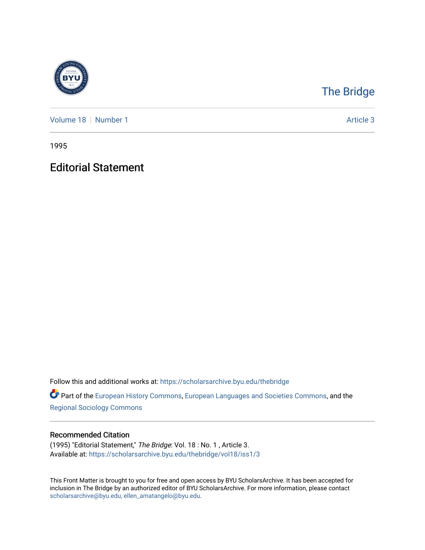

## [The Bridge](https://scholarsarchive.byu.edu/thebridge)

[Volume 18](https://scholarsarchive.byu.edu/thebridge/vol18) [Number 1](https://scholarsarchive.byu.edu/thebridge/vol18/iss1) Article 3

1995

## Editorial Statement

Follow this and additional works at: [https://scholarsarchive.byu.edu/thebridge](https://scholarsarchive.byu.edu/thebridge?utm_source=scholarsarchive.byu.edu%2Fthebridge%2Fvol18%2Fiss1%2F3&utm_medium=PDF&utm_campaign=PDFCoverPages) 

**Part of the [European History Commons](http://network.bepress.com/hgg/discipline/492?utm_source=scholarsarchive.byu.edu%2Fthebridge%2Fvol18%2Fiss1%2F3&utm_medium=PDF&utm_campaign=PDFCoverPages), [European Languages and Societies Commons,](http://network.bepress.com/hgg/discipline/482?utm_source=scholarsarchive.byu.edu%2Fthebridge%2Fvol18%2Fiss1%2F3&utm_medium=PDF&utm_campaign=PDFCoverPages) and the** [Regional Sociology Commons](http://network.bepress.com/hgg/discipline/427?utm_source=scholarsarchive.byu.edu%2Fthebridge%2Fvol18%2Fiss1%2F3&utm_medium=PDF&utm_campaign=PDFCoverPages) 

## Recommended Citation

(1995) "Editorial Statement," The Bridge: Vol. 18 : No. 1 , Article 3. Available at: [https://scholarsarchive.byu.edu/thebridge/vol18/iss1/3](https://scholarsarchive.byu.edu/thebridge/vol18/iss1/3?utm_source=scholarsarchive.byu.edu%2Fthebridge%2Fvol18%2Fiss1%2F3&utm_medium=PDF&utm_campaign=PDFCoverPages) 

This Front Matter is brought to you for free and open access by BYU ScholarsArchive. It has been accepted for inclusion in The Bridge by an authorized editor of BYU ScholarsArchive. For more information, please contact [scholarsarchive@byu.edu, ellen\\_amatangelo@byu.edu](mailto:scholarsarchive@byu.edu,%20ellen_amatangelo@byu.edu).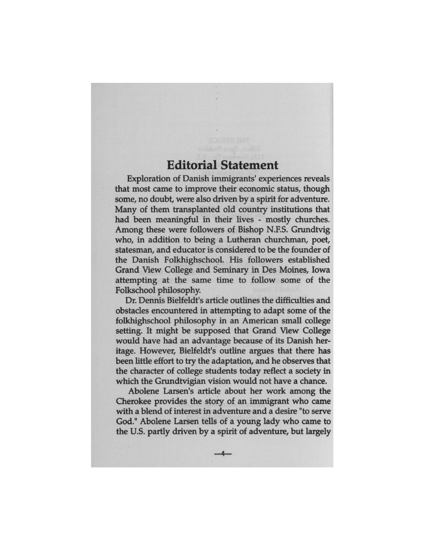## **Editorial Statement**

Exploration of Danish immigrants' experiences reveals that most came to improve their economic status, though some, no doubt, were also driven by a spirit for adventure. Many of them transplanted old country institutions that had been meaningful in their lives - mostly churches. Among these were followers of Bishop N.F.S. Grundtvig who, in addition to being a Lutheran churchman, poet, statesman, and educator is considered to be the founder of the Danish Folkhighschool. His followers established Grand View College and Seminary in Des Moines, Iowa attempting at the same time to follow some of the Folkschool philosophy.

Dr. Dennis Bielfeldt's article outlines the difficulties and obstacles encountered in attempting to adapt some of the folkhighschool philosophy in an American small college setting. It might be supposed that Grand View College would have had an advantage because of its Danish heritage. However, Bielfeldt's outline argues that there has been little effort to try the adaptation, and he observes that the character of college students today reflect a society in which the Grundtvigian vision would not have a chance.

Abolene Larsen's article about her work among the Cherokee provides the story of an immigrant who came with a blend of interest in adventure and a desire "to serve God." Abolene Larsen tells of a young lady who came to the U.S. partly driven by a spirit of adventure, but largely

 $-4$